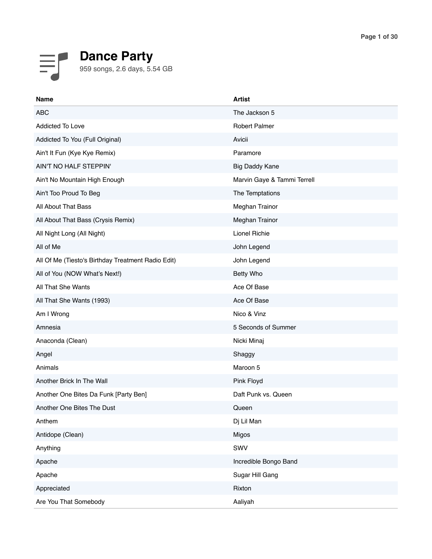

| <b>Name</b>                                        | <b>Artist</b>               |
|----------------------------------------------------|-----------------------------|
| <b>ABC</b>                                         | The Jackson 5               |
| Addicted To Love                                   | <b>Robert Palmer</b>        |
| Addicted To You (Full Original)                    | Avicii                      |
| Ain't It Fun (Kye Kye Remix)                       | Paramore                    |
| AIN'T NO HALF STEPPIN'                             | <b>Big Daddy Kane</b>       |
| Ain't No Mountain High Enough                      | Marvin Gaye & Tammi Terrell |
| Ain't Too Proud To Beg                             | The Temptations             |
| All About That Bass                                | Meghan Trainor              |
| All About That Bass (Crysis Remix)                 | Meghan Trainor              |
| All Night Long (All Night)                         | Lionel Richie               |
| All of Me                                          | John Legend                 |
| All Of Me (Tiesto's Birthday Treatment Radio Edit) | John Legend                 |
| All of You (NOW What's Next!)                      | Betty Who                   |
| All That She Wants                                 | Ace Of Base                 |
| All That She Wants (1993)                          | Ace Of Base                 |
| Am I Wrong                                         | Nico & Vinz                 |
| Amnesia                                            | 5 Seconds of Summer         |
| Anaconda (Clean)                                   | Nicki Minaj                 |
| Angel                                              | Shaggy                      |
| Animals                                            | Maroon 5                    |
| Another Brick In The Wall                          | Pink Floyd                  |
| Another One Bites Da Funk [Party Ben]              | Daft Punk vs. Queen         |
| Another One Bites The Dust                         | Queen                       |
| Anthem                                             | Dj Lil Man                  |
| Antidope (Clean)                                   | Migos                       |
| Anything                                           | SWV                         |
| Apache                                             | Incredible Bongo Band       |
| Apache                                             | Sugar Hill Gang             |
| Appreciated                                        | Rixton                      |
| Are You That Somebody                              | Aaliyah                     |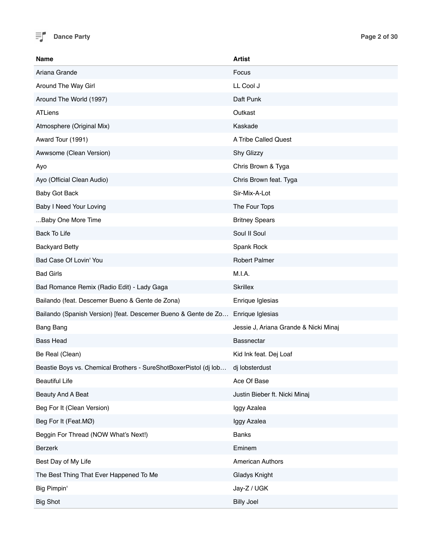

| Name                                                             | <b>Artist</b>                         |
|------------------------------------------------------------------|---------------------------------------|
| Ariana Grande                                                    | Focus                                 |
| Around The Way Girl                                              | LL Cool J                             |
| Around The World (1997)                                          | Daft Punk                             |
| <b>ATLiens</b>                                                   | Outkast                               |
| Atmosphere (Original Mix)                                        | Kaskade                               |
| Award Tour (1991)                                                | A Tribe Called Quest                  |
| Awwsome (Clean Version)                                          | Shy Glizzy                            |
| Ayo                                                              | Chris Brown & Tyga                    |
| Ayo (Official Clean Audio)                                       | Chris Brown feat. Tyga                |
| Baby Got Back                                                    | Sir-Mix-A-Lot                         |
| Baby I Need Your Loving                                          | The Four Tops                         |
| Baby One More Time                                               | <b>Britney Spears</b>                 |
| <b>Back To Life</b>                                              | Soul II Soul                          |
| <b>Backyard Betty</b>                                            | Spank Rock                            |
| Bad Case Of Lovin' You                                           | Robert Palmer                         |
| <b>Bad Girls</b>                                                 | M.I.A.                                |
| Bad Romance Remix (Radio Edit) - Lady Gaga                       | <b>Skrillex</b>                       |
| Bailando (feat. Descemer Bueno & Gente de Zona)                  | Enrique Iglesias                      |
| Bailando (Spanish Version) [feat. Descemer Bueno & Gente de Zo   | Enrique Iglesias                      |
| <b>Bang Bang</b>                                                 | Jessie J, Ariana Grande & Nicki Minaj |
| <b>Bass Head</b>                                                 | <b>Bassnectar</b>                     |
| Be Real (Clean)                                                  | Kid Ink feat. Dej Loaf                |
| Beastie Boys vs. Chemical Brothers - SureShotBoxerPistol (dj lob | dj lobsterdust                        |
| <b>Beautiful Life</b>                                            | Ace Of Base                           |
| Beauty And A Beat                                                | Justin Bieber ft. Nicki Minaj         |
| Beg For It (Clean Version)                                       | Iggy Azalea                           |
| Beg For It (Feat.MØ)                                             | Iggy Azalea                           |
| Beggin For Thread (NOW What's Next!)                             | <b>Banks</b>                          |
| Berzerk                                                          | Eminem                                |
| Best Day of My Life                                              | American Authors                      |
| The Best Thing That Ever Happened To Me                          | <b>Gladys Knight</b>                  |
| Big Pimpin'                                                      | Jay-Z / UGK                           |
| <b>Big Shot</b>                                                  | <b>Billy Joel</b>                     |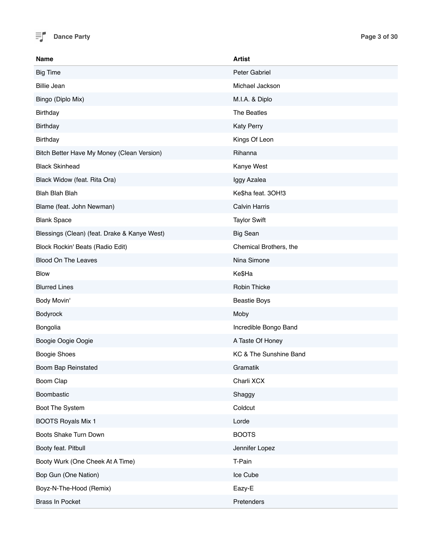

| Name                                         | <b>Artist</b>          |
|----------------------------------------------|------------------------|
| <b>Big Time</b>                              | Peter Gabriel          |
| <b>Billie Jean</b>                           | Michael Jackson        |
| Bingo (Diplo Mix)                            | M.I.A. & Diplo         |
| <b>Birthday</b>                              | The Beatles            |
| <b>Birthday</b>                              | <b>Katy Perry</b>      |
| <b>Birthday</b>                              | Kings Of Leon          |
| Bitch Better Have My Money (Clean Version)   | Rihanna                |
| <b>Black Skinhead</b>                        | Kanye West             |
| Black Widow (feat. Rita Ora)                 | Iggy Azalea            |
| <b>Blah Blah Blah</b>                        | Ke\$ha feat. 3OH!3     |
| Blame (feat. John Newman)                    | <b>Calvin Harris</b>   |
| <b>Blank Space</b>                           | <b>Taylor Swift</b>    |
| Blessings (Clean) (feat. Drake & Kanye West) | <b>Big Sean</b>        |
| Block Rockin' Beats (Radio Edit)             | Chemical Brothers, the |
| <b>Blood On The Leaves</b>                   | Nina Simone            |
| <b>Blow</b>                                  | Ke\$Ha                 |
| <b>Blurred Lines</b>                         | Robin Thicke           |
| Body Movin'                                  | <b>Beastie Boys</b>    |
| Bodyrock                                     | Moby                   |
| Bongolia                                     | Incredible Bongo Band  |
| Boogie Oogie Oogie                           | A Taste Of Honey       |
| Boogie Shoes                                 | KC & The Sunshine Band |
| Boom Bap Reinstated                          | Gramatik               |
| Boom Clap                                    | Charli XCX             |
| Boombastic                                   | Shaggy                 |
| Boot The System                              | Coldcut                |
| <b>BOOTS Royals Mix 1</b>                    | Lorde                  |
| Boots Shake Turn Down                        | <b>BOOTS</b>           |
| Booty feat. Pitbull                          | Jennifer Lopez         |
| Booty Wurk (One Cheek At A Time)             | T-Pain                 |
| Bop Gun (One Nation)                         | Ice Cube               |
| Boyz-N-The-Hood (Remix)                      | Eazy-E                 |
| Brass In Pocket                              | Pretenders             |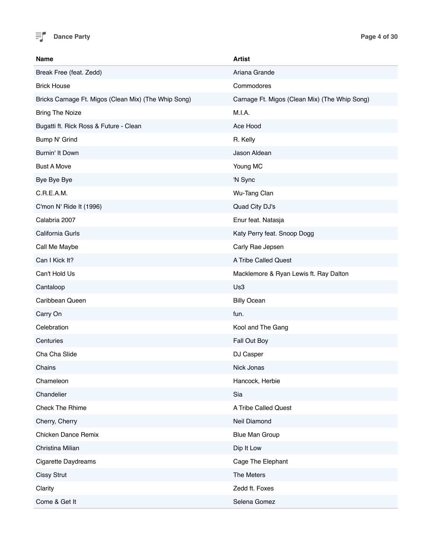

| <b>Name</b>                                          | <b>Artist</b>                                 |
|------------------------------------------------------|-----------------------------------------------|
| Break Free (feat. Zedd)                              | Ariana Grande                                 |
| <b>Brick House</b>                                   | Commodores                                    |
| Bricks Carnage Ft. Migos (Clean Mix) (The Whip Song) | Carnage Ft. Migos (Clean Mix) (The Whip Song) |
| <b>Bring The Noize</b>                               | M.I.A.                                        |
| Bugatti ft. Rick Ross & Future - Clean               | Ace Hood                                      |
| Bump N' Grind                                        | R. Kelly                                      |
| Burnin' It Down                                      | Jason Aldean                                  |
| <b>Bust A Move</b>                                   | Young MC                                      |
| Bye Bye Bye                                          | 'N Sync                                       |
| C.R.E.A.M.                                           | Wu-Tang Clan                                  |
| C'mon N' Ride It (1996)                              | Quad City DJ's                                |
| Calabria 2007                                        | Enur feat. Natasja                            |
| California Gurls                                     | Katy Perry feat. Snoop Dogg                   |
| Call Me Maybe                                        | Carly Rae Jepsen                              |
| Can I Kick It?                                       | A Tribe Called Quest                          |
| Can't Hold Us                                        | Macklemore & Ryan Lewis ft. Ray Dalton        |
| Cantaloop                                            | Us3                                           |
| Caribbean Queen                                      | <b>Billy Ocean</b>                            |
| Carry On                                             | fun.                                          |
| Celebration                                          | Kool and The Gang                             |
| Centuries                                            | Fall Out Boy                                  |
| Cha Cha Slide                                        | DJ Casper                                     |
| Chains                                               | Nick Jonas                                    |
| Chameleon                                            | Hancock, Herbie                               |
| Chandelier                                           | Sia                                           |
| Check The Rhime                                      | A Tribe Called Quest                          |
| Cherry, Cherry                                       | Neil Diamond                                  |
| Chicken Dance Remix                                  | <b>Blue Man Group</b>                         |
| Christina Milian                                     | Dip It Low                                    |
| <b>Cigarette Daydreams</b>                           | Cage The Elephant                             |
| <b>Cissy Strut</b>                                   | The Meters                                    |
| Clarity                                              | Zedd ft. Foxes                                |
| Come & Get It                                        | Selena Gomez                                  |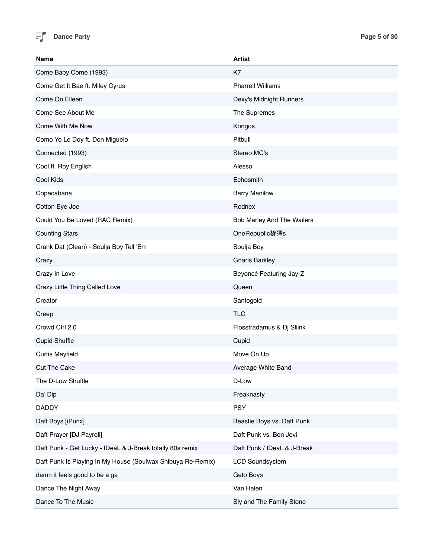

| <b>Name</b>                                                 | <b>Artist</b>               |
|-------------------------------------------------------------|-----------------------------|
| Come Baby Come (1993)                                       | K7                          |
| Come Get It Bae ft. Miley Cyrus                             | <b>Pharrell Williams</b>    |
| Come On Eileen                                              | Dexy's Midnight Runners     |
| Come See About Me                                           | The Supremes                |
| Come With Me Now                                            | Kongos                      |
| Como Yo Le Doy ft. Don Miguelo                              | Pitbull                     |
| Connected (1993)                                            | Stereo MC's                 |
| Cool ft. Roy English                                        | Alesso                      |
| Cool Kids                                                   | Echosmith                   |
| Copacabana                                                  | <b>Barry Manilow</b>        |
| Cotton Eye Joe                                              | Rednex                      |
| Could You Be Loved (RAC Remix)                              | Bob Marley And The Wailers  |
| <b>Counting Stars</b>                                       | OneRepublic楌獳s              |
| Crank Dat (Clean) - Soulja Boy Tell 'Em                     | Soulja Boy                  |
| Crazy                                                       | <b>Gnarls Barkley</b>       |
| Crazy In Love                                               | Beyoncé Featuring Jay-Z     |
| Crazy Little Thing Called Love                              | Queen                       |
| Creator                                                     | Santogold                   |
| Creep                                                       | <b>TLC</b>                  |
| Crowd Ctrl 2.0                                              | Flosstradamus & Dj Sliink   |
| <b>Cupid Shuffle</b>                                        | Cupid                       |
| <b>Curtis Mayfield</b>                                      | Move On Up                  |
| <b>Cut The Cake</b>                                         | Average White Band          |
| The D-Low Shuffle                                           | D-Low                       |
| Da' Dip                                                     | Freaknasty                  |
| <b>DADDY</b>                                                | <b>PSY</b>                  |
| Daft Boys [iPunx]                                           | Beastie Boys vs. Daft Punk  |
| Daft Prayer [DJ Payroll]                                    | Daft Punk vs. Bon Jovi      |
| Daft Punk - Get Lucky - IDeaL & J-Break totally 80s remix   | Daft Punk / IDeaL & J-Break |
| Daft Punk Is Playing In My House (Soulwax Shibuya Re-Remix) | <b>LCD Soundsystem</b>      |
| damn it feels good to be a ga                               | Geto Boys                   |
| Dance The Night Away                                        | Van Halen                   |
| Dance To The Music                                          | Sly and The Family Stone    |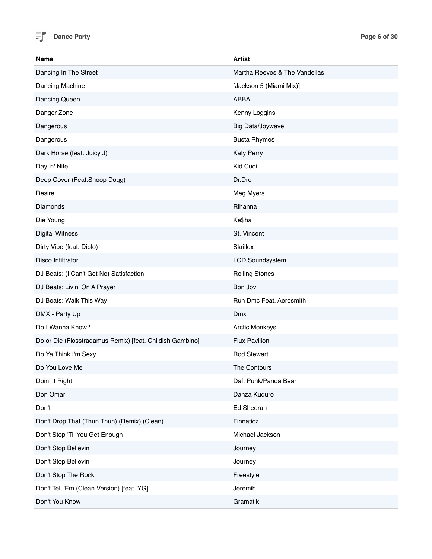

| <b>Name</b>                                              | <b>Artist</b>                 |
|----------------------------------------------------------|-------------------------------|
| Dancing In The Street                                    | Martha Reeves & The Vandellas |
| Dancing Machine                                          | [Jackson 5 (Miami Mix)]       |
| Dancing Queen                                            | ABBA                          |
| Danger Zone                                              | Kenny Loggins                 |
| Dangerous                                                | Big Data/Joywave              |
| Dangerous                                                | <b>Busta Rhymes</b>           |
| Dark Horse (feat. Juicy J)                               | <b>Katy Perry</b>             |
| Day 'n' Nite                                             | Kid Cudi                      |
| Deep Cover (Feat.Snoop Dogg)                             | Dr.Dre                        |
| Desire                                                   | Meg Myers                     |
| Diamonds                                                 | Rihanna                       |
| Die Young                                                | Ke\$ha                        |
| <b>Digital Witness</b>                                   | St. Vincent                   |
| Dirty Vibe (feat. Diplo)                                 | <b>Skrillex</b>               |
| Disco Infiltrator                                        | <b>LCD Soundsystem</b>        |
| DJ Beats: (I Can't Get No) Satisfaction                  | <b>Rolling Stones</b>         |
| DJ Beats: Livin' On A Prayer                             | Bon Jovi                      |
| DJ Beats: Walk This Way                                  | Run Dmc Feat. Aerosmith       |
| DMX - Party Up                                           | <b>Dmx</b>                    |
| Do I Wanna Know?                                         | <b>Arctic Monkeys</b>         |
| Do or Die (Flosstradamus Remix) [feat. Childish Gambino] | <b>Flux Pavilion</b>          |
| Do Ya Think I'm Sexy                                     | <b>Rod Stewart</b>            |
| Do You Love Me                                           | The Contours                  |
| Doin' It Right                                           | Daft Punk/Panda Bear          |
| Don Omar                                                 | Danza Kuduro                  |
| Don't                                                    | Ed Sheeran                    |
| Don't Drop That (Thun Thun) (Remix) (Clean)              | Finnaticz                     |
| Don't Stop 'Til You Get Enough                           | Michael Jackson               |
| Don't Stop Believin'                                     | Journey                       |
| Don't Stop Bellevin'                                     | Journey                       |
| Don't Stop The Rock                                      | Freestyle                     |
| Don't Tell 'Em (Clean Version) [feat. YG]                | Jeremih                       |
| Don't You Know                                           | Gramatik                      |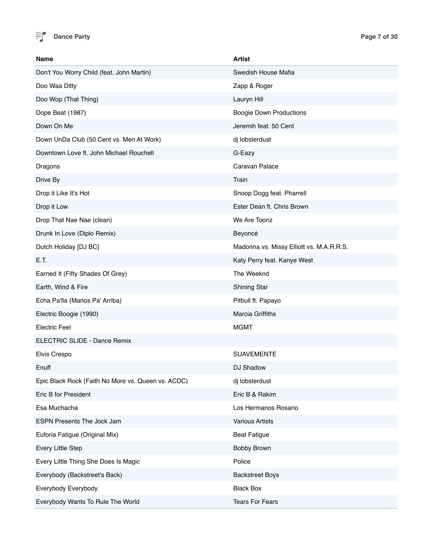

| <b>Name</b>                                        | Artist                                   |
|----------------------------------------------------|------------------------------------------|
| Don't You Worry Child (feat. John Martin)          | Swedish House Mafia                      |
| Doo Waa Ditty                                      | Zapp & Roger                             |
| Doo Wop (That Thing)                               | Lauryn Hill                              |
| Dope Beat (1987)                                   | <b>Boogie Down Productions</b>           |
| Down On Me                                         | Jeremih feat. 50 Cent                    |
| Down UnDa Club (50 Cent vs. Men At Work)           | dj lobsterdust                           |
| Downtown Love ft. John Michael Rouchell            | G-Eazy                                   |
| Dragons                                            | Caravan Palace                           |
| Drive By                                           | Train                                    |
| Drop it Like It's Hot                              | Snoop Dogg feat. Pharrell                |
| Drop it Low                                        | Ester Dean ft. Chris Brown               |
| Drop That Nae Nae (clean)                          | We Are Toonz                             |
| Drunk In Love (Diplo Remix)                        | Beyoncé                                  |
| Dutch Holiday [DJ BC]                              | Madonna vs. Missy Elliott vs. M.A.R.R.S. |
| E.T.                                               | Katy Perry feat. Kanye West              |
| Earned It (Fifty Shades Of Grey)                   | The Weeknd                               |
| Earth, Wind & Fire                                 | <b>Shining Star</b>                      |
| Echa Pa'lla (Manos Pa' Arriba)                     | Pitbull ft. Papayo                       |
| Electric Boogie (1990)                             | Marcia Griffiths                         |
| <b>Electric Feel</b>                               | <b>MGMT</b>                              |
| ELECTRIC SLIDE - Dance Remix                       |                                          |
| Elvis Crespo                                       | <b>SUAVEMENTE</b>                        |
| Enuff                                              | DJ Shadow                                |
| Epic Black Rock (Faith No More vs. Queen vs. ACDC) | dj lobsterdust                           |
| Eric B for President                               | Eric B & Rakim                           |
| Esa Muchacha                                       | Los Hermanos Rosario                     |
| ESPN Presents The Jock Jam                         | <b>Various Artists</b>                   |
| Euforia Fatigue (Original Mix)                     | <b>Beat Fatigue</b>                      |
| Every Little Step                                  | <b>Bobby Brown</b>                       |
| Every Little Thing She Does Is Magic               | Police                                   |
| Everybody (Backstreet's Back)                      | <b>Backstreet Boys</b>                   |
| Everybody Everybody                                | <b>Black Box</b>                         |
| Everybody Wants To Rule The World                  | <b>Tears For Fears</b>                   |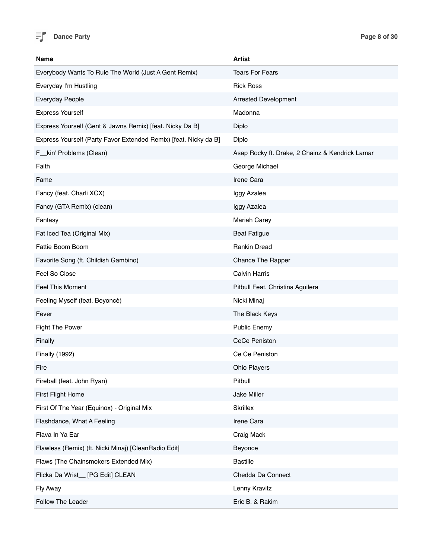

| Name                                                             | <b>Artist</b>                                   |
|------------------------------------------------------------------|-------------------------------------------------|
| Everybody Wants To Rule The World (Just A Gent Remix)            | <b>Tears For Fears</b>                          |
| Everyday I'm Hustling                                            | <b>Rick Ross</b>                                |
| Everyday People                                                  | <b>Arrested Development</b>                     |
| <b>Express Yourself</b>                                          | Madonna                                         |
| Express Yourself (Gent & Jawns Remix) [feat. Nicky Da B]         | Diplo                                           |
| Express Yourself (Party Favor Extended Remix) [feat. Nicky da B] | Diplo                                           |
| F__kin' Problems (Clean)                                         | Asap Rocky ft. Drake, 2 Chainz & Kendrick Lamar |
| Faith                                                            | George Michael                                  |
| Fame                                                             | Irene Cara                                      |
| Fancy (feat. Charli XCX)                                         | Iggy Azalea                                     |
| Fancy (GTA Remix) (clean)                                        | Iggy Azalea                                     |
| Fantasy                                                          | <b>Mariah Carey</b>                             |
| Fat Iced Tea (Original Mix)                                      | <b>Beat Fatigue</b>                             |
| Fattie Boom Boom                                                 | <b>Rankin Dread</b>                             |
| Favorite Song (ft. Childish Gambino)                             | Chance The Rapper                               |
| Feel So Close                                                    | <b>Calvin Harris</b>                            |
| <b>Feel This Moment</b>                                          | Pitbull Feat. Christina Aguilera                |
| Feeling Myself (feat. Beyoncé)                                   | Nicki Minaj                                     |
| Fever                                                            | The Black Keys                                  |
| <b>Fight The Power</b>                                           | <b>Public Enemy</b>                             |
| Finally                                                          | <b>CeCe Peniston</b>                            |
| <b>Finally (1992)</b>                                            | Ce Ce Peniston                                  |
| Fire                                                             | Ohio Players                                    |
| Fireball (feat. John Ryan)                                       | Pitbull                                         |
| First Flight Home                                                | Jake Miller                                     |
| First Of The Year (Equinox) - Original Mix                       | <b>Skrillex</b>                                 |
| Flashdance, What A Feeling                                       | Irene Cara                                      |
| Flava In Ya Ear                                                  | Craig Mack                                      |
| Flawless (Remix) (ft. Nicki Minaj) [CleanRadio Edit]             | Beyonce                                         |
| Flaws (The Chainsmokers Extended Mix)                            | <b>Bastille</b>                                 |
| Flicka Da Wrist_[PG Edit] CLEAN                                  | Chedda Da Connect                               |
| Fly Away                                                         | Lenny Kravitz                                   |
| Follow The Leader                                                | Eric B. & Rakim                                 |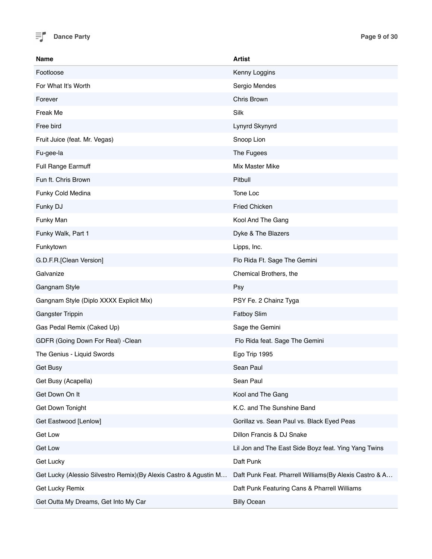

| Name                                                              | <b>Artist</b>                                          |
|-------------------------------------------------------------------|--------------------------------------------------------|
| Footloose                                                         | Kenny Loggins                                          |
| For What It's Worth                                               | Sergio Mendes                                          |
| Forever                                                           | Chris Brown                                            |
| Freak Me                                                          | Silk                                                   |
| Free bird                                                         | Lynyrd Skynyrd                                         |
| Fruit Juice (feat. Mr. Vegas)                                     | Snoop Lion                                             |
| Fu-gee-la                                                         | The Fugees                                             |
| Full Range Earmuff                                                | Mix Master Mike                                        |
| Fun ft. Chris Brown                                               | Pitbull                                                |
| Funky Cold Medina                                                 | Tone Loc                                               |
| Funky DJ                                                          | <b>Fried Chicken</b>                                   |
| Funky Man                                                         | Kool And The Gang                                      |
| Funky Walk, Part 1                                                | Dyke & The Blazers                                     |
| Funkytown                                                         | Lipps, Inc.                                            |
| G.D.F.R.[Clean Version]                                           | Flo Rida Ft. Sage The Gemini                           |
| Galvanize                                                         | Chemical Brothers, the                                 |
| Gangnam Style                                                     | Psy                                                    |
| Gangnam Style (Diplo XXXX Explicit Mix)                           | PSY Fe. 2 Chainz Tyga                                  |
| <b>Gangster Trippin</b>                                           | <b>Fatboy Slim</b>                                     |
| Gas Pedal Remix (Caked Up)                                        | Sage the Gemini                                        |
| GDFR (Going Down For Real) -Clean                                 | Flo Rida feat. Sage The Gemini                         |
| The Genius - Liquid Swords                                        | Ego Trip 1995                                          |
| Get Busy                                                          | Sean Paul                                              |
| Get Busy (Acapella)                                               | Sean Paul                                              |
| Get Down On It                                                    | Kool and The Gang                                      |
| Get Down Tonight                                                  | K.C. and The Sunshine Band                             |
| Get Eastwood [Lenlow]                                             | Gorillaz vs. Sean Paul vs. Black Eyed Peas             |
| Get Low                                                           | Dillon Francis & DJ Snake                              |
| <b>Get Low</b>                                                    | Lil Jon and The East Side Boyz feat. Ying Yang Twins   |
| Get Lucky                                                         | Daft Punk                                              |
| Get Lucky (Alessio Silvestro Remix) (By Alexis Castro & Agustin M | Daft Punk Feat. Pharrell Williams(By Alexis Castro & A |
| Get Lucky Remix                                                   | Daft Punk Featuring Cans & Pharrell Williams           |
| Get Outta My Dreams, Get Into My Car                              | <b>Billy Ocean</b>                                     |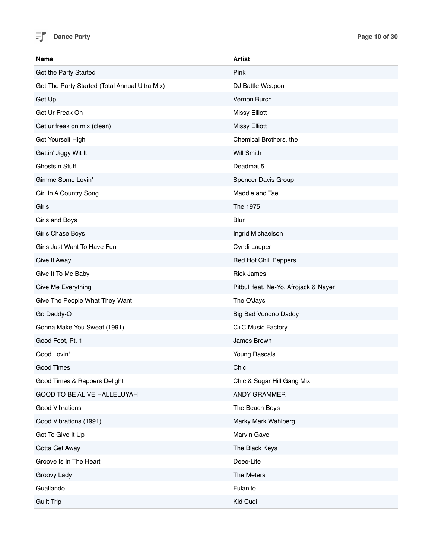

| <b>Name</b>                                    | <b>Artist</b>                         |
|------------------------------------------------|---------------------------------------|
| Get the Party Started                          | Pink                                  |
| Get The Party Started (Total Annual Ultra Mix) | DJ Battle Weapon                      |
| Get Up                                         | Vernon Burch                          |
| Get Ur Freak On                                | <b>Missy Elliott</b>                  |
| Get ur freak on mix (clean)                    | <b>Missy Elliott</b>                  |
| Get Yourself High                              | Chemical Brothers, the                |
| Gettin' Jiggy Wit It                           | <b>Will Smith</b>                     |
| Ghosts n Stuff                                 | Deadmau5                              |
| Gimme Some Lovin'                              | Spencer Davis Group                   |
| Girl In A Country Song                         | Maddie and Tae                        |
| Girls                                          | The 1975                              |
| Girls and Boys                                 | <b>Blur</b>                           |
| Girls Chase Boys                               | Ingrid Michaelson                     |
| Girls Just Want To Have Fun                    | Cyndi Lauper                          |
| Give It Away                                   | Red Hot Chili Peppers                 |
| Give It To Me Baby                             | <b>Rick James</b>                     |
| Give Me Everything                             | Pitbull feat. Ne-Yo, Afrojack & Nayer |
| Give The People What They Want                 | The O'Jays                            |
| Go Daddy-O                                     | Big Bad Voodoo Daddy                  |
| Gonna Make You Sweat (1991)                    | C+C Music Factory                     |
| Good Foot, Pt. 1                               | James Brown                           |
| Good Lovin'                                    | Young Rascals                         |
| Good Times                                     | Chic                                  |
| Good Times & Rappers Delight                   | Chic & Sugar Hill Gang Mix            |
| GOOD TO BE ALIVE HALLELUYAH                    | ANDY GRAMMER                          |
| <b>Good Vibrations</b>                         | The Beach Boys                        |
| Good Vibrations (1991)                         | Marky Mark Wahlberg                   |
| Got To Give It Up                              | Marvin Gaye                           |
| Gotta Get Away                                 | The Black Keys                        |
| Groove Is In The Heart                         | Deee-Lite                             |
| Groovy Lady                                    | The Meters                            |
| Guallando                                      | Fulanito                              |
| <b>Guilt Trip</b>                              | Kid Cudi                              |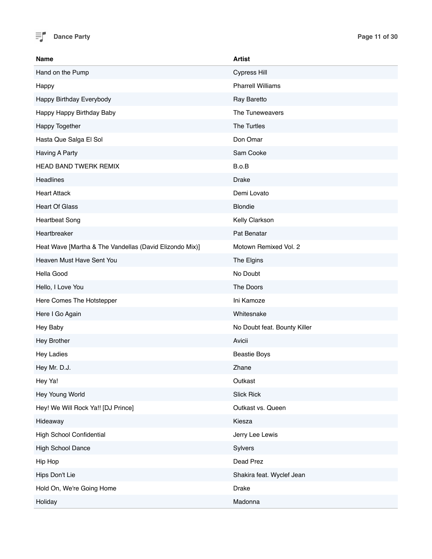

| Name                                                    | <b>Artist</b>                |
|---------------------------------------------------------|------------------------------|
| Hand on the Pump                                        | <b>Cypress Hill</b>          |
| Happy                                                   | <b>Pharrell Williams</b>     |
| Happy Birthday Everybody                                | Ray Baretto                  |
| Happy Happy Birthday Baby                               | The Tuneweavers              |
| <b>Happy Together</b>                                   | The Turtles                  |
| Hasta Que Salga El Sol                                  | Don Omar                     |
| Having A Party                                          | Sam Cooke                    |
| HEAD BAND TWERK REMIX                                   | B.o.B                        |
| Headlines                                               | <b>Drake</b>                 |
| <b>Heart Attack</b>                                     | Demi Lovato                  |
| <b>Heart Of Glass</b>                                   | <b>Blondie</b>               |
| <b>Heartbeat Song</b>                                   | Kelly Clarkson               |
| Heartbreaker                                            | Pat Benatar                  |
| Heat Wave [Martha & The Vandellas (David Elizondo Mix)] | Motown Remixed Vol. 2        |
| Heaven Must Have Sent You                               | The Elgins                   |
| Hella Good                                              | No Doubt                     |
| Hello, I Love You                                       | The Doors                    |
| Here Comes The Hotstepper                               | Ini Kamoze                   |
| Here I Go Again                                         | Whitesnake                   |
| Hey Baby                                                | No Doubt feat. Bounty Killer |
| Hey Brother                                             | Avicii                       |
| <b>Hey Ladies</b>                                       | <b>Beastie Boys</b>          |
| Hey Mr. D.J.                                            | Zhane                        |
| Hey Ya!                                                 | Outkast                      |
| Hey Young World                                         | <b>Slick Rick</b>            |
| Hey! We Will Rock Ya!! [DJ Prince]                      | Outkast vs. Queen            |
| Hideaway                                                | Kiesza                       |
| <b>High School Confidential</b>                         | Jerry Lee Lewis              |
| High School Dance                                       | Sylvers                      |
| Hip Hop                                                 | Dead Prez                    |
| Hips Don't Lie                                          | Shakira feat. Wyclef Jean    |
| Hold On, We're Going Home                               | Drake                        |
| Holiday                                                 | Madonna                      |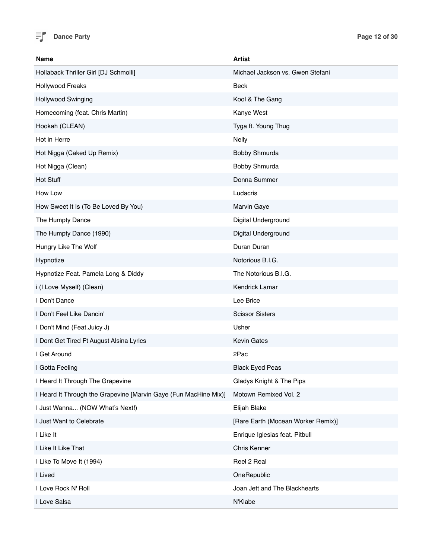

| <b>Name</b>                                                      | <b>Artist</b>                      |
|------------------------------------------------------------------|------------------------------------|
| Hollaback Thriller Girl [DJ Schmolli]                            | Michael Jackson vs. Gwen Stefani   |
| Hollywood Freaks                                                 | Beck                               |
| Hollywood Swinging                                               | Kool & The Gang                    |
| Homecoming (feat. Chris Martin)                                  | Kanye West                         |
| Hookah (CLEAN)                                                   | Tyga ft. Young Thug                |
| Hot in Herre                                                     | <b>Nelly</b>                       |
| Hot Nigga (Caked Up Remix)                                       | Bobby Shmurda                      |
| Hot Nigga (Clean)                                                | Bobby Shmurda                      |
| Hot Stuff                                                        | Donna Summer                       |
| How Low                                                          | Ludacris                           |
| How Sweet It Is (To Be Loved By You)                             | Marvin Gaye                        |
| The Humpty Dance                                                 | Digital Underground                |
| The Humpty Dance (1990)                                          | Digital Underground                |
| Hungry Like The Wolf                                             | Duran Duran                        |
| Hypnotize                                                        | Notorious B.I.G.                   |
| Hypnotize Feat. Pamela Long & Diddy                              | The Notorious B.I.G.               |
| i (I Love Myself) (Clean)                                        | Kendrick Lamar                     |
| I Don't Dance                                                    | Lee Brice                          |
| I Don't Feel Like Dancin'                                        | <b>Scissor Sisters</b>             |
| I Don't Mind (Feat.Juicy J)                                      | Usher                              |
| I Dont Get Tired Ft August Alsina Lyrics                         | <b>Kevin Gates</b>                 |
| I Get Around                                                     | 2Pac                               |
| I Gotta Feeling                                                  | <b>Black Eved Peas</b>             |
| I Heard It Through The Grapevine                                 | Gladys Knight & The Pips           |
| I Heard It Through the Grapevine [Marvin Gaye (Fun MacHine Mix)] | Motown Remixed Vol. 2              |
| I Just Wanna (NOW What's Next!)                                  | Elijah Blake                       |
| I Just Want to Celebrate                                         | [Rare Earth (Mocean Worker Remix)] |
| I Like It                                                        | Enrique Iglesias feat. Pitbull     |
| I Like It Like That                                              | Chris Kenner                       |
| I Like To Move It (1994)                                         | Reel 2 Real                        |
| I Lived                                                          | OneRepublic                        |
| I Love Rock N' Roll                                              | Joan Jett and The Blackhearts      |
| I Love Salsa                                                     | N'Klabe                            |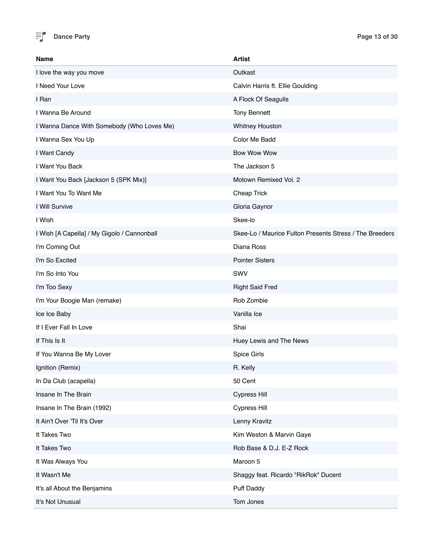

| <b>Name</b>                                 | <b>Artist</b>                                           |
|---------------------------------------------|---------------------------------------------------------|
| I love the way you move                     | Outkast                                                 |
| I Need Your Love                            | Calvin Harris ft. Ellie Goulding                        |
| I Ran                                       | A Flock Of Seagulls                                     |
| I Wanna Be Around                           | <b>Tony Bennett</b>                                     |
| I Wanna Dance With Somebody (Who Loves Me)  | <b>Whitney Houston</b>                                  |
| I Wanna Sex You Up                          | Color Me Badd                                           |
| I Want Candy                                | <b>Bow Wow Wow</b>                                      |
| I Want You Back                             | The Jackson 5                                           |
| I Want You Back [Jackson 5 (SPK Mix)]       | Motown Remixed Vol. 2                                   |
| I Want You To Want Me                       | Cheap Trick                                             |
| I Will Survive                              | Gloria Gaynor                                           |
| I Wish                                      | Skee-lo                                                 |
| I Wish [A Capella] / My Gigolo / Cannonball | Skee-Lo / Maurice Fulton Presents Stress / The Breeders |
| I'm Coming Out                              | Diana Ross                                              |
| I'm So Excited                              | <b>Pointer Sisters</b>                                  |
| I'm So Into You                             | SWV                                                     |
| I'm Too Sexy                                | <b>Right Said Fred</b>                                  |
| I'm Your Boogie Man (remake)                | Rob Zombie                                              |
| Ice Ice Baby                                | Vanilla Ice                                             |
| If I Ever Fall In Love                      | Shai                                                    |
| If This Is It                               | Huey Lewis and The News                                 |
| If You Wanna Be My Lover                    | Spice Girls                                             |
| Ignition (Remix)                            | R. Kelly                                                |
| In Da Club (acapella)                       | 50 Cent                                                 |
| Insane In The Brain                         | Cypress Hill                                            |
| Insane In The Brain (1992)                  | <b>Cypress Hill</b>                                     |
| It Ain't Over 'Til It's Over                | Lenny Kravitz                                           |
| It Takes Two                                | Kim Weston & Marvin Gaye                                |
| It Takes Two                                | Rob Base & D.J. E-Z Rock                                |
| It Was Always You                           | Maroon 5                                                |
| It Wasn't Me                                | Shaggy feat. Ricardo "RikRok" Ducent                    |
| It's all About the Benjamins                | <b>Puff Daddy</b>                                       |
| It's Not Unusual                            | Tom Jones                                               |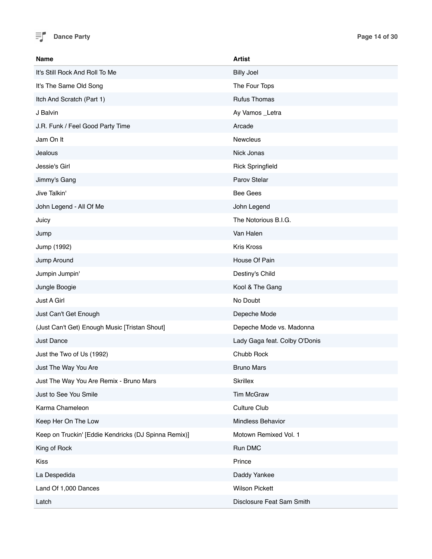

| <b>Name</b>                                          | <b>Artist</b>                 |
|------------------------------------------------------|-------------------------------|
| It's Still Rock And Roll To Me                       | <b>Billy Joel</b>             |
| It's The Same Old Song                               | The Four Tops                 |
| Itch And Scratch (Part 1)                            | <b>Rufus Thomas</b>           |
| J Balvin                                             | Ay Vamos_Letra                |
| J.R. Funk / Feel Good Party Time                     | Arcade                        |
| Jam On It                                            | <b>Newcleus</b>               |
| Jealous                                              | Nick Jonas                    |
| Jessie's Girl                                        | <b>Rick Springfield</b>       |
| Jimmy's Gang                                         | Parov Stelar                  |
| Jive Talkin'                                         | <b>Bee Gees</b>               |
| John Legend - All Of Me                              | John Legend                   |
| Juicy                                                | The Notorious B.I.G.          |
| Jump                                                 | Van Halen                     |
| Jump (1992)                                          | Kris Kross                    |
| Jump Around                                          | House Of Pain                 |
| Jumpin Jumpin'                                       | Destiny's Child               |
| Jungle Boogie                                        | Kool & The Gang               |
| Just A Girl                                          | No Doubt                      |
| Just Can't Get Enough                                | Depeche Mode                  |
| (Just Can't Get) Enough Music [Tristan Shout]        | Depeche Mode vs. Madonna      |
| <b>Just Dance</b>                                    | Lady Gaga feat. Colby O'Donis |
| Just the Two of Us (1992)                            | Chubb Rock                    |
| Just The Way You Are                                 | <b>Bruno Mars</b>             |
| Just The Way You Are Remix - Bruno Mars              | <b>Skrillex</b>               |
| Just to See You Smile                                | Tim McGraw                    |
| Karma Chameleon                                      | Culture Club                  |
| Keep Her On The Low                                  | Mindless Behavior             |
| Keep on Truckin' [Eddie Kendricks (DJ Spinna Remix)] | Motown Remixed Vol. 1         |
| King of Rock                                         | Run DMC                       |
| Kiss                                                 | Prince                        |
| La Despedida                                         | Daddy Yankee                  |
| Land Of 1,000 Dances                                 | <b>Wilson Pickett</b>         |
| Latch                                                | Disclosure Feat Sam Smith     |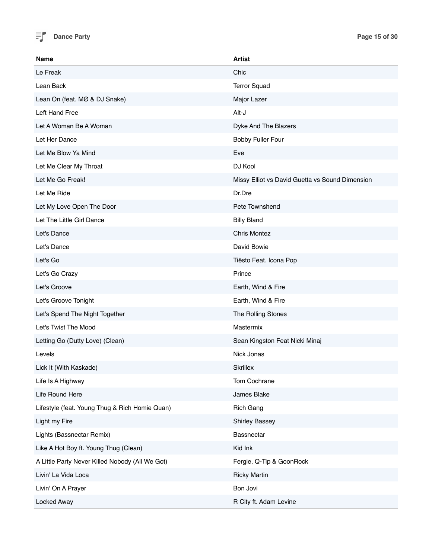

| Name                                            | <b>Artist</b>                                   |
|-------------------------------------------------|-------------------------------------------------|
| Le Freak                                        | Chic                                            |
| Lean Back                                       | <b>Terror Squad</b>                             |
| Lean On (feat. MØ & DJ Snake)                   | Major Lazer                                     |
| <b>Left Hand Free</b>                           | Alt-J                                           |
| Let A Woman Be A Woman                          | Dyke And The Blazers                            |
| Let Her Dance                                   | <b>Bobby Fuller Four</b>                        |
| Let Me Blow Ya Mind                             | Eve                                             |
| Let Me Clear My Throat                          | DJ Kool                                         |
| Let Me Go Freak!                                | Missy Elliot vs David Guetta vs Sound Dimension |
| Let Me Ride                                     | Dr.Dre                                          |
| Let My Love Open The Door                       | Pete Townshend                                  |
| Let The Little Girl Dance                       | <b>Billy Bland</b>                              |
| Let's Dance                                     | <b>Chris Montez</b>                             |
| Let's Dance                                     | David Bowie                                     |
| Let's Go                                        | Tiësto Feat. Icona Pop                          |
| Let's Go Crazy                                  | Prince                                          |
| Let's Groove                                    | Earth, Wind & Fire                              |
| Let's Groove Tonight                            | Earth, Wind & Fire                              |
| Let's Spend The Night Together                  | The Rolling Stones                              |
| Let's Twist The Mood                            | Mastermix                                       |
| Letting Go (Dutty Love) (Clean)                 | Sean Kingston Feat Nicki Minaj                  |
| Levels                                          | Nick Jonas                                      |
| Lick It (With Kaskade)                          | <b>Skrillex</b>                                 |
| Life Is A Highway                               | Tom Cochrane                                    |
| Life Round Here                                 | James Blake                                     |
| Lifestyle (feat. Young Thug & Rich Homie Quan)  | <b>Rich Gang</b>                                |
| Light my Fire                                   | <b>Shirley Bassey</b>                           |
| Lights (Bassnectar Remix)                       | Bassnectar                                      |
| Like A Hot Boy ft. Young Thug (Clean)           | Kid Ink                                         |
| A Little Party Never Killed Nobody (All We Got) | Fergie, Q-Tip & GoonRock                        |
| Livin' La Vida Loca                             | <b>Ricky Martin</b>                             |
| Livin' On A Prayer                              | Bon Jovi                                        |
| Locked Away                                     | R City ft. Adam Levine                          |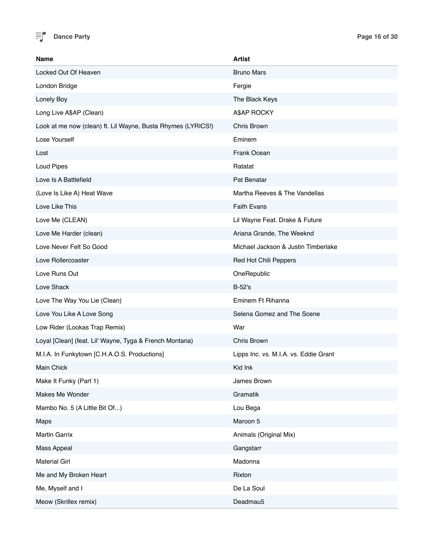

| Name                                                         | <b>Artist</b>                         |
|--------------------------------------------------------------|---------------------------------------|
| Locked Out Of Heaven                                         | <b>Bruno Mars</b>                     |
| London Bridge                                                | Fergie                                |
| Lonely Boy                                                   | The Black Keys                        |
| Long Live A\$AP (Clean)                                      | A\$AP ROCKY                           |
| Look at me now (clean) ft. Lil Wayne, Busta Rhymes (LYRICS!) | Chris Brown                           |
| Lose Yourself                                                | Eminem                                |
| Lost                                                         | Frank Ocean                           |
| Loud Pipes                                                   | Ratatat                               |
| Love Is A Battlefield                                        | Pat Benatar                           |
| (Love Is Like A) Heat Wave                                   | Martha Reeves & The Vandellas         |
| Love Like This                                               | <b>Faith Evans</b>                    |
| Love Me (CLEAN)                                              | Lil Wayne Feat. Drake & Future        |
| Love Me Harder (clean)                                       | Ariana Grande, The Weeknd             |
| Love Never Felt So Good                                      | Michael Jackson & Justin Timberlake   |
| Love Rollercoaster                                           | Red Hot Chili Peppers                 |
| Love Runs Out                                                | OneRepublic                           |
| Love Shack                                                   | $B-52's$                              |
| Love The Way You Lie (Clean)                                 | Eminem Ft Rihanna                     |
| Love You Like A Love Song                                    | Selena Gomez and The Scene            |
| Low Rider (Lookas Trap Remix)                                | War                                   |
| Loyal [Clean] (feat. Lil' Wayne, Tyga & French Montana)      | Chris Brown                           |
| M.I.A. In Funkytown [C.H.A.O.S. Productions]                 | Lipps Inc. vs. M.I.A. vs. Eddie Grant |
| Main Chick                                                   | Kid Ink                               |
| Make It Funky (Part 1)                                       | James Brown                           |
| Makes Me Wonder                                              | Gramatik                              |
| Mambo No. 5 (A Little Bit Of)                                | Lou Bega                              |
| Maps                                                         | Maroon 5                              |
| Martin Garrix                                                | Animals (Original Mix)                |
| Mass Appeal                                                  | Gangstarr                             |
| <b>Material Girl</b>                                         | Madonna                               |
| Me and My Broken Heart                                       | Rixton                                |
| Me, Myself and I                                             | De La Soul                            |
| Meow (Skrillex remix)                                        | Deadmau5                              |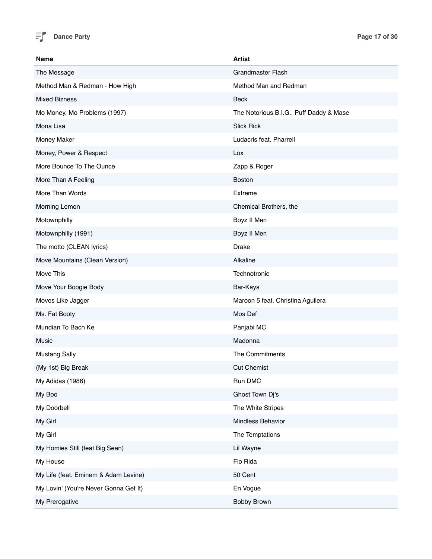

| Name                                  | <b>Artist</b>                           |
|---------------------------------------|-----------------------------------------|
| The Message                           | <b>Grandmaster Flash</b>                |
| Method Man & Redman - How High        | Method Man and Redman                   |
| <b>Mixed Bizness</b>                  | <b>Beck</b>                             |
| Mo Money, Mo Problems (1997)          | The Notorious B.I.G., Puff Daddy & Mase |
| Mona Lisa                             | <b>Slick Rick</b>                       |
| Money Maker                           | Ludacris feat. Pharrell                 |
| Money, Power & Respect                | Lox                                     |
| More Bounce To The Ounce              | Zapp & Roger                            |
| More Than A Feeling                   | <b>Boston</b>                           |
| More Than Words                       | Extreme                                 |
| Morning Lemon                         | Chemical Brothers, the                  |
| Motownphilly                          | Boyz II Men                             |
| Motownphilly (1991)                   | Boyz II Men                             |
| The motto (CLEAN lyrics)              | <b>Drake</b>                            |
| Move Mountains (Clean Version)        | Alkaline                                |
| Move This                             | Technotronic                            |
| Move Your Boogie Body                 | Bar-Kays                                |
| Moves Like Jagger                     | Maroon 5 feat. Christina Aguilera       |
| Ms. Fat Booty                         | Mos Def                                 |
| Mundian To Bach Ke                    | Panjabi MC                              |
| Music                                 | Madonna                                 |
| <b>Mustang Sally</b>                  | The Commitments                         |
| (My 1st) Big Break                    | <b>Cut Chemist</b>                      |
| My Adidas (1986)                      | Run DMC                                 |
| My Boo                                | Ghost Town Dj's                         |
| My Doorbell                           | The White Stripes                       |
| My Girl                               | Mindless Behavior                       |
| My Girl                               | The Temptations                         |
| My Homies Still (feat Big Sean)       | Lil Wayne                               |
| My House                              | Flo Rida                                |
| My Life (feat. Eminem & Adam Levine)  | 50 Cent                                 |
| My Lovin' (You're Never Gonna Get It) | En Vogue                                |
| My Prerogative                        | Bobby Brown                             |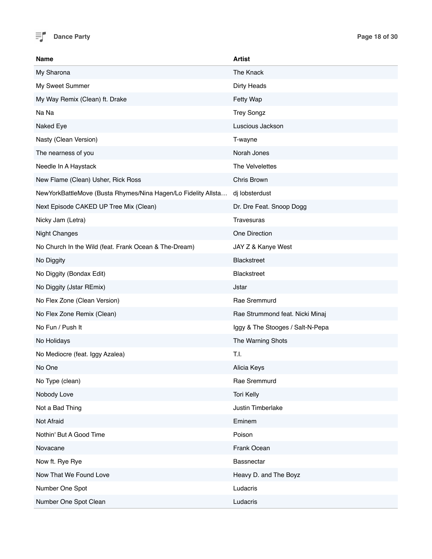

| Name                                                             | <b>Artist</b>                    |
|------------------------------------------------------------------|----------------------------------|
| My Sharona                                                       | The Knack                        |
| My Sweet Summer                                                  | Dirty Heads                      |
| My Way Remix (Clean) ft. Drake                                   | Fetty Wap                        |
| Na Na                                                            | <b>Trey Songz</b>                |
| Naked Eye                                                        | Luscious Jackson                 |
| Nasty (Clean Version)                                            | T-wayne                          |
| The nearness of you                                              | Norah Jones                      |
| Needle In A Haystack                                             | The Velvelettes                  |
| New Flame (Clean) Usher, Rick Ross                               | Chris Brown                      |
| New York Battle Move (Busta Rhymes/Nina Hagen/Lo Fidelity Allsta | dj lobsterdust                   |
| Next Episode CAKED UP Tree Mix (Clean)                           | Dr. Dre Feat. Snoop Dogg         |
| Nicky Jam (Letra)                                                | Travesuras                       |
| <b>Night Changes</b>                                             | One Direction                    |
| No Church In the Wild (feat. Frank Ocean & The-Dream)            | JAY Z & Kanye West               |
| No Diggity                                                       | Blackstreet                      |
| No Diggity (Bondax Edit)                                         | <b>Blackstreet</b>               |
| No Diggity (Jstar REmix)                                         | Jstar                            |
| No Flex Zone (Clean Version)                                     | Rae Sremmurd                     |
| No Flex Zone Remix (Clean)                                       | Rae Strummond feat. Nicki Minaj  |
| No Fun / Push It                                                 | Iggy & The Stooges / Salt-N-Pepa |
| No Holidays                                                      | The Warning Shots                |
| No Mediocre (feat. Iggy Azalea)                                  | T.I.                             |
| No One                                                           | Alicia Keys                      |
| No Type (clean)                                                  | Rae Sremmurd                     |
| Nobody Love                                                      | <b>Tori Kelly</b>                |
| Not a Bad Thing                                                  | Justin Timberlake                |
| Not Afraid                                                       | Eminem                           |
| Nothin' But A Good Time                                          | Poison                           |
| Novacane                                                         | Frank Ocean                      |
| Now ft. Rye Rye                                                  | <b>Bassnectar</b>                |
| Now That We Found Love                                           | Heavy D. and The Boyz            |
| Number One Spot                                                  | Ludacris                         |
| Number One Spot Clean                                            | Ludacris                         |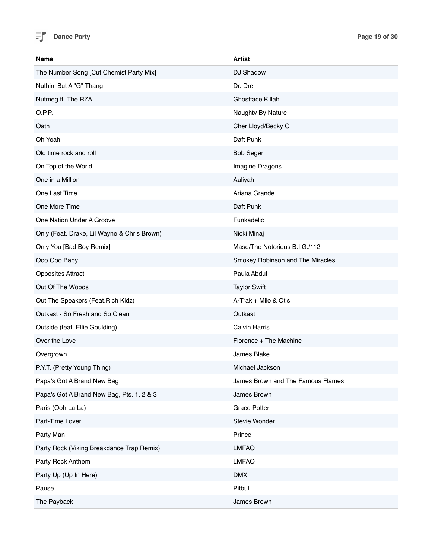

| <b>Name</b>                                 | <b>Artist</b>                     |
|---------------------------------------------|-----------------------------------|
| The Number Song [Cut Chemist Party Mix]     | DJ Shadow                         |
| Nuthin' But A "G" Thang                     | Dr. Dre                           |
| Nutmeg ft. The RZA                          | Ghostface Killah                  |
| O.P.P.                                      | Naughty By Nature                 |
| Oath                                        | Cher Lloyd/Becky G                |
| Oh Yeah                                     | Daft Punk                         |
| Old time rock and roll                      | <b>Bob Seger</b>                  |
| On Top of the World                         | Imagine Dragons                   |
| One in a Million                            | Aaliyah                           |
| One Last Time                               | Ariana Grande                     |
| One More Time                               | Daft Punk                         |
| One Nation Under A Groove                   | Funkadelic                        |
| Only (Feat. Drake, Lil Wayne & Chris Brown) | Nicki Minaj                       |
| Only You [Bad Boy Remix]                    | Mase/The Notorious B.I.G./112     |
| Ooo Ooo Baby                                | Smokey Robinson and The Miracles  |
| <b>Opposites Attract</b>                    | Paula Abdul                       |
| Out Of The Woods                            | <b>Taylor Swift</b>               |
| Out The Speakers (Feat. Rich Kidz)          | A-Trak + Milo & Otis              |
| Outkast - So Fresh and So Clean             | Outkast                           |
| Outside (feat. Ellie Goulding)              | <b>Calvin Harris</b>              |
| Over the Love                               | Florence + The Machine            |
| Overgrown                                   | James Blake                       |
| P.Y.T. (Pretty Young Thing)                 | Michael Jackson                   |
| Papa's Got A Brand New Bag                  | James Brown and The Famous Flames |
| Papa's Got A Brand New Bag, Pts. 1, 2 & 3   | James Brown                       |
| Paris (Ooh La La)                           | <b>Grace Potter</b>               |
| Part-Time Lover                             | Stevie Wonder                     |
| Party Man                                   | Prince                            |
| Party Rock (Viking Breakdance Trap Remix)   | <b>LMFAO</b>                      |
| Party Rock Anthem                           | <b>LMFAO</b>                      |
| Party Up (Up In Here)                       | <b>DMX</b>                        |
| Pause                                       | Pitbull                           |
| The Payback                                 | James Brown                       |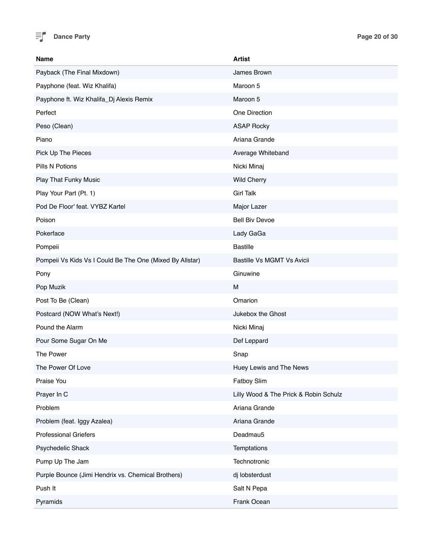

| <b>Name</b>                                              | <b>Artist</b>                         |
|----------------------------------------------------------|---------------------------------------|
| Payback (The Final Mixdown)                              | James Brown                           |
| Payphone (feat. Wiz Khalifa)                             | Maroon 5                              |
| Payphone ft. Wiz Khalifa_Dj Alexis Remix                 | Maroon 5                              |
| Perfect                                                  | One Direction                         |
| Peso (Clean)                                             | <b>ASAP Rocky</b>                     |
| Piano                                                    | Ariana Grande                         |
| Pick Up The Pieces                                       | Average Whiteband                     |
| Pills N Potions                                          | Nicki Minaj                           |
| Play That Funky Music                                    | <b>Wild Cherry</b>                    |
| Play Your Part (Pt. 1)                                   | <b>Girl Talk</b>                      |
| Pod De Floor' feat. VYBZ Kartel                          | Major Lazer                           |
| Poison                                                   | <b>Bell Biv Devoe</b>                 |
| Pokerface                                                | Lady GaGa                             |
| Pompeii                                                  | <b>Bastille</b>                       |
| Pompeii Vs Kids Vs I Could Be The One (Mixed By Allstar) | <b>Bastille Vs MGMT Vs Avicii</b>     |
| Pony                                                     | Ginuwine                              |
| Pop Muzik                                                | M                                     |
| Post To Be (Clean)                                       | Omarion                               |
| Postcard (NOW What's Next!)                              | Jukebox the Ghost                     |
| Pound the Alarm                                          | Nicki Minaj                           |
| Pour Some Sugar On Me                                    | Def Leppard                           |
| The Power                                                | Snap                                  |
| The Power Of Love                                        | Huey Lewis and The News               |
| Praise You                                               | Fatboy Slim                           |
| Prayer In C                                              | Lilly Wood & The Prick & Robin Schulz |
| Problem                                                  | Ariana Grande                         |
| Problem (feat. Iggy Azalea)                              | Ariana Grande                         |
| <b>Professional Griefers</b>                             | Deadmau5                              |
| Psychedelic Shack                                        | Temptations                           |
| Pump Up The Jam                                          | Technotronic                          |
| Purple Bounce (Jimi Hendrix vs. Chemical Brothers)       | dj lobsterdust                        |
| Push It                                                  | Salt N Pepa                           |
| Pyramids                                                 | Frank Ocean                           |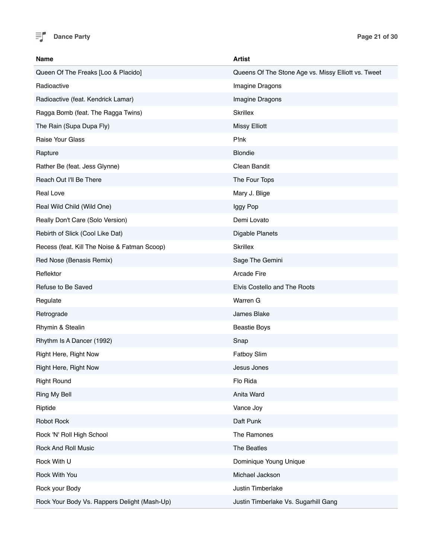

| <b>Name</b>                                  | <b>Artist</b>                                       |
|----------------------------------------------|-----------------------------------------------------|
| Queen Of The Freaks [Loo & Placido]          | Queens Of The Stone Age vs. Missy Elliott vs. Tweet |
| Radioactive                                  | Imagine Dragons                                     |
| Radioactive (feat. Kendrick Lamar)           | Imagine Dragons                                     |
| Ragga Bomb (feat. The Ragga Twins)           | <b>Skrillex</b>                                     |
| The Rain (Supa Dupa Fly)                     | <b>Missy Elliott</b>                                |
| <b>Raise Your Glass</b>                      | P!nk                                                |
| Rapture                                      | <b>Blondie</b>                                      |
| Rather Be (feat. Jess Glynne)                | Clean Bandit                                        |
| Reach Out I'll Be There                      | The Four Tops                                       |
| <b>Real Love</b>                             | Mary J. Blige                                       |
| Real Wild Child (Wild One)                   | Iggy Pop                                            |
| Really Don't Care (Solo Version)             | Demi Lovato                                         |
| Rebirth of Slick (Cool Like Dat)             | Digable Planets                                     |
| Recess (feat. Kill The Noise & Fatman Scoop) | <b>Skrillex</b>                                     |
| Red Nose (Benasis Remix)                     | Sage The Gemini                                     |
| Reflektor                                    | Arcade Fire                                         |
| Refuse to Be Saved                           | Elvis Costello and The Roots                        |
| Regulate                                     | Warren G                                            |
| Retrograde                                   | James Blake                                         |
| Rhymin & Stealin                             | <b>Beastie Boys</b>                                 |
| Rhythm Is A Dancer (1992)                    | Snap                                                |
| Right Here, Right Now                        | <b>Fatboy Slim</b>                                  |
| Right Here, Right Now                        | Jesus Jones                                         |
| <b>Right Round</b>                           | Flo Rida                                            |
| Ring My Bell                                 | Anita Ward                                          |
| Riptide                                      | Vance Joy                                           |
| Robot Rock                                   | Daft Punk                                           |
| Rock 'N' Roll High School                    | The Ramones                                         |
| <b>Rock And Roll Music</b>                   | The Beatles                                         |
| Rock With U                                  | Dominique Young Unique                              |
| Rock With You                                | Michael Jackson                                     |
| Rock your Body                               | Justin Timberlake                                   |
| Rock Your Body Vs. Rappers Delight (Mash-Up) | Justin Timberlake Vs. Sugarhill Gang                |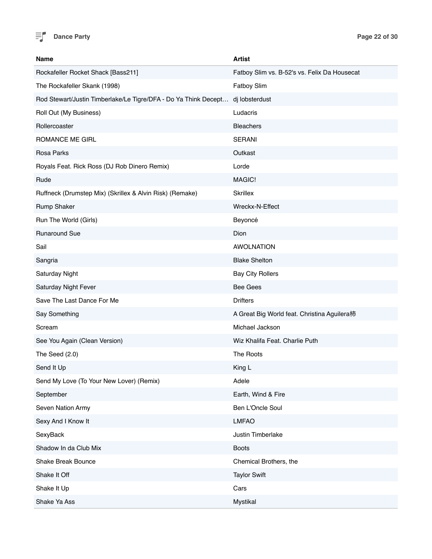

| <b>Name</b>                                                     | <b>Artist</b>                                |
|-----------------------------------------------------------------|----------------------------------------------|
| Rockafeller Rocket Shack [Bass211]                              | Fatboy Slim vs. B-52's vs. Felix Da Housecat |
| The Rockafeller Skank (1998)                                    | Fatboy Slim                                  |
| Rod Stewart/Justin Timberlake/Le Tigre/DFA - Do Ya Think Decept | dj lobsterdust                               |
| Roll Out (My Business)                                          | Ludacris                                     |
| Rollercoaster                                                   | <b>Bleachers</b>                             |
| ROMANCE ME GIRL                                                 | <b>SERANI</b>                                |
| Rosa Parks                                                      | Outkast                                      |
| Royals Feat. Rick Ross (DJ Rob Dinero Remix)                    | Lorde                                        |
| Rude                                                            | MAGIC!                                       |
| Ruffneck (Drumstep Mix) (Skrillex & Alvin Risk) (Remake)        | <b>Skrillex</b>                              |
| <b>Rump Shaker</b>                                              | Wreckx-N-Effect                              |
| Run The World (Girls)                                           | Beyoncé                                      |
| <b>Runaround Sue</b>                                            | Dion                                         |
| Sail                                                            | <b>AWOLNATION</b>                            |
| Sangria                                                         | <b>Blake Shelton</b>                         |
| Saturday Night                                                  | <b>Bay City Rollers</b>                      |
| Saturday Night Fever                                            | <b>Bee Gees</b>                              |
| Save The Last Dance For Me                                      | <b>Drifters</b>                              |
| Say Something                                                   | A Great Big World feat. Christina Aguilera柿  |
| Scream                                                          | Michael Jackson                              |
| See You Again (Clean Version)                                   | Wiz Khalifa Feat. Charlie Puth               |
| The Seed (2.0)                                                  | The Roots                                    |
| Send It Up                                                      | King L                                       |
| Send My Love (To Your New Lover) (Remix)                        | Adele                                        |
| September                                                       | Earth, Wind & Fire                           |
| Seven Nation Army                                               | Ben L'Oncle Soul                             |
| Sexy And I Know It                                              | <b>LMFAO</b>                                 |
| SexyBack                                                        | Justin Timberlake                            |
| Shadow In da Club Mix                                           | <b>Boots</b>                                 |
| <b>Shake Break Bounce</b>                                       | Chemical Brothers, the                       |
| Shake It Off                                                    | <b>Taylor Swift</b>                          |
| Shake It Up                                                     | Cars                                         |
| Shake Ya Ass                                                    | Mystikal                                     |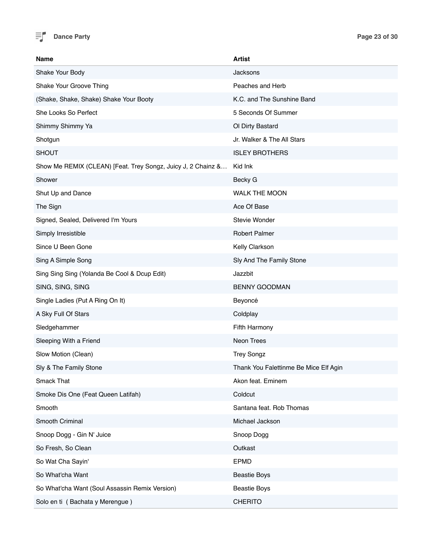

| Name                                                         | <b>Artist</b>                         |
|--------------------------------------------------------------|---------------------------------------|
| Shake Your Body                                              | Jacksons                              |
| Shake Your Groove Thing                                      | Peaches and Herb                      |
| (Shake, Shake, Shake) Shake Your Booty                       | K.C. and The Sunshine Band            |
| She Looks So Perfect                                         | 5 Seconds Of Summer                   |
| Shimmy Shimmy Ya                                             | Ol Dirty Bastard                      |
| Shotgun                                                      | Jr. Walker & The All Stars            |
| <b>SHOUT</b>                                                 | <b>ISLEY BROTHERS</b>                 |
| Show Me REMIX (CLEAN) [Feat. Trey Songz, Juicy J, 2 Chainz & | Kid Ink                               |
| Shower                                                       | Becky G                               |
| Shut Up and Dance                                            | <b>WALK THE MOON</b>                  |
| The Sign                                                     | Ace Of Base                           |
| Signed, Sealed, Delivered I'm Yours                          | Stevie Wonder                         |
| Simply Irresistible                                          | <b>Robert Palmer</b>                  |
| Since U Been Gone                                            | Kelly Clarkson                        |
| Sing A Simple Song                                           | Sly And The Family Stone              |
| Sing Sing Sing (Yolanda Be Cool & Dcup Edit)                 | Jazzbit                               |
| SING, SING, SING                                             | <b>BENNY GOODMAN</b>                  |
| Single Ladies (Put A Ring On It)                             | Beyoncé                               |
| A Sky Full Of Stars                                          | Coldplay                              |
| Sledgehammer                                                 | Fifth Harmony                         |
| Sleeping With a Friend                                       | Neon Trees                            |
| Slow Motion (Clean)                                          | <b>Trey Songz</b>                     |
| Sly & The Family Stone                                       | Thank You Falettinme Be Mice Elf Agin |
| <b>Smack That</b>                                            | Akon feat. Eminem                     |
| Smoke Dis One (Feat Queen Latifah)                           | Coldcut                               |
| Smooth                                                       | Santana feat. Rob Thomas              |
| Smooth Criminal                                              | Michael Jackson                       |
| Snoop Dogg - Gin N' Juice                                    | Snoop Dogg                            |
| So Fresh, So Clean                                           | Outkast                               |
| So Wat Cha Sayin'                                            | <b>EPMD</b>                           |
| So What'cha Want                                             | <b>Beastie Boys</b>                   |
| So What'cha Want (Soul Assassin Remix Version)               | <b>Beastie Boys</b>                   |
| Solo en ti (Bachata y Merengue)                              | <b>CHERITO</b>                        |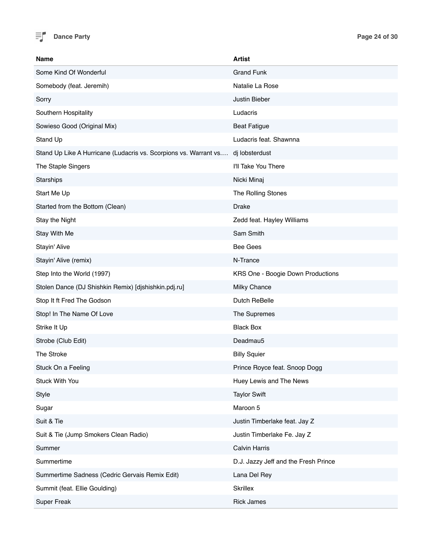

| <b>Name</b>                                                      | <b>Artist</b>                        |
|------------------------------------------------------------------|--------------------------------------|
| Some Kind Of Wonderful                                           | <b>Grand Funk</b>                    |
| Somebody (feat. Jeremih)                                         | Natalie La Rose                      |
| Sorry                                                            | Justin Bieber                        |
| Southern Hospitality                                             | Ludacris                             |
| Sowieso Good (Original Mix)                                      | <b>Beat Fatigue</b>                  |
| Stand Up                                                         | Ludacris feat. Shawnna               |
| Stand Up Like A Hurricane (Ludacris vs. Scorpions vs. Warrant vs | dj lobsterdust                       |
| The Staple Singers                                               | I'll Take You There                  |
| Starships                                                        | Nicki Minaj                          |
| Start Me Up                                                      | The Rolling Stones                   |
| Started from the Bottom (Clean)                                  | <b>Drake</b>                         |
| Stay the Night                                                   | Zedd feat. Hayley Williams           |
| Stay With Me                                                     | Sam Smith                            |
| Stayin' Alive                                                    | <b>Bee Gees</b>                      |
| Stayin' Alive (remix)                                            | N-Trance                             |
| Step Into the World (1997)                                       | KRS One - Boogie Down Productions    |
| Stolen Dance (DJ Shishkin Remix) [djshishkin.pdj.ru]             | Milky Chance                         |
| Stop It ft Fred The Godson                                       | Dutch ReBelle                        |
| Stop! In The Name Of Love                                        | The Supremes                         |
| Strike It Up                                                     | <b>Black Box</b>                     |
| Strobe (Club Edit)                                               | Deadmau5                             |
| The Stroke                                                       | <b>Billy Squier</b>                  |
| Stuck On a Feeling                                               | Prince Royce feat. Snoop Dogg        |
| <b>Stuck With You</b>                                            | Huey Lewis and The News              |
| Style                                                            | <b>Taylor Swift</b>                  |
| Sugar                                                            | Maroon 5                             |
| Suit & Tie                                                       | Justin Timberlake feat. Jay Z        |
| Suit & Tie (Jump Smokers Clean Radio)                            | Justin Timberlake Fe. Jay Z          |
| Summer                                                           | <b>Calvin Harris</b>                 |
| Summertime                                                       | D.J. Jazzy Jeff and the Fresh Prince |
| Summertime Sadness (Cedric Gervais Remix Edit)                   | Lana Del Rey                         |
| Summit (feat. Ellie Goulding)                                    | Skrillex                             |
| <b>Super Freak</b>                                               | <b>Rick James</b>                    |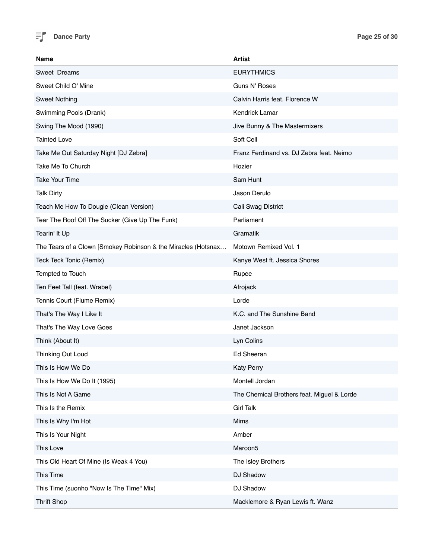

| Name                                                          | Artist                                     |
|---------------------------------------------------------------|--------------------------------------------|
| Sweet Dreams                                                  | <b>EURYTHMICS</b>                          |
| Sweet Child O' Mine                                           | Guns N' Roses                              |
| <b>Sweet Nothing</b>                                          | Calvin Harris feat. Florence W             |
| Swimming Pools (Drank)                                        | <b>Kendrick Lamar</b>                      |
| Swing The Mood (1990)                                         | Jive Bunny & The Mastermixers              |
| Tainted Love                                                  | Soft Cell                                  |
| Take Me Out Saturday Night [DJ Zebra]                         | Franz Ferdinand vs. DJ Zebra feat. Neimo   |
| Take Me To Church                                             | Hozier                                     |
| <b>Take Your Time</b>                                         | Sam Hunt                                   |
| <b>Talk Dirty</b>                                             | Jason Derulo                               |
| Teach Me How To Dougie (Clean Version)                        | Cali Swag District                         |
| Tear The Roof Off The Sucker (Give Up The Funk)               | Parliament                                 |
| Tearin' It Up                                                 | Gramatik                                   |
| The Tears of a Clown [Smokey Robinson & the Miracles (Hotsnax | Motown Remixed Vol. 1                      |
| Teck Teck Tonic (Remix)                                       | Kanye West ft. Jessica Shores              |
| Tempted to Touch                                              | Rupee                                      |
| Ten Feet Tall (feat. Wrabel)                                  | Afrojack                                   |
| Tennis Court (Flume Remix)                                    | Lorde                                      |
| That's The Way I Like It                                      | K.C. and The Sunshine Band                 |
| That's The Way Love Goes                                      | Janet Jackson                              |
| Think (About It)                                              | Lyn Colins                                 |
| Thinking Out Loud                                             | Ed Sheeran                                 |
| This Is How We Do                                             | <b>Katy Perry</b>                          |
| This Is How We Do It (1995)                                   | Montell Jordan                             |
| This Is Not A Game                                            | The Chemical Brothers feat. Miguel & Lorde |
| This Is the Remix                                             | <b>Girl Talk</b>                           |
| This Is Why I'm Hot                                           | Mims                                       |
| This Is Your Night                                            | Amber                                      |
| This Love                                                     | Maroon5                                    |
| This Old Heart Of Mine (Is Weak 4 You)                        | The Isley Brothers                         |
| This Time                                                     | DJ Shadow                                  |
| This Time (suonho "Now Is The Time" Mix)                      | DJ Shadow                                  |
| <b>Thrift Shop</b>                                            | Macklemore & Ryan Lewis ft. Wanz           |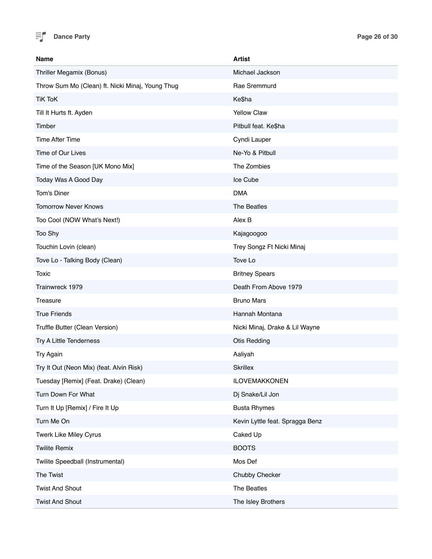

| Name                                             | <b>Artist</b>                   |
|--------------------------------------------------|---------------------------------|
| Thriller Megamix (Bonus)                         | Michael Jackson                 |
| Throw Sum Mo (Clean) ft. Nicki Minaj, Young Thug | Rae Sremmurd                    |
| <b>TiK ToK</b>                                   | Ke\$ha                          |
| Till It Hurts ft. Ayden                          | <b>Yellow Claw</b>              |
| Timber                                           | Pitbull feat. Ke\$ha            |
| <b>Time After Time</b>                           | Cyndi Lauper                    |
| Time of Our Lives                                | Ne-Yo & Pitbull                 |
| Time of the Season [UK Mono Mix]                 | The Zombies                     |
| Today Was A Good Day                             | Ice Cube                        |
| Tom's Diner                                      | <b>DMA</b>                      |
| <b>Tomorrow Never Knows</b>                      | The Beatles                     |
| Too Cool (NOW What's Next!)                      | Alex B                          |
| Too Shy                                          | Kajagoogoo                      |
| Touchin Lovin (clean)                            | Trey Songz Ft Nicki Minaj       |
| Tove Lo - Talking Body (Clean)                   | Tove Lo                         |
| Toxic                                            | <b>Britney Spears</b>           |
| Trainwreck 1979                                  | Death From Above 1979           |
| Treasure                                         | <b>Bruno Mars</b>               |
| <b>True Friends</b>                              | Hannah Montana                  |
| Truffle Butter (Clean Version)                   | Nicki Minaj, Drake & Lil Wayne  |
| Try A Little Tenderness                          | <b>Otis Redding</b>             |
| Try Again                                        | Aaliyah                         |
| Try It Out (Neon Mix) (feat. Alvin Risk)         | <b>Skrillex</b>                 |
| Tuesday [Remix] (Feat. Drake) (Clean)            | <b>ILOVEMAKKONEN</b>            |
| Turn Down For What                               | Dj Snake/Lil Jon                |
| Turn It Up [Remix] / Fire It Up                  | <b>Busta Rhymes</b>             |
| Turn Me On                                       | Kevin Lyttle feat. Spragga Benz |
| Twerk Like Miley Cyrus                           | Caked Up                        |
| <b>Twilite Remix</b>                             | <b>BOOTS</b>                    |
| Twilite Speedball (Instrumental)                 | Mos Def                         |
| The Twist                                        | Chubby Checker                  |
| <b>Twist And Shout</b>                           | The Beatles                     |
| <b>Twist And Shout</b>                           | The Isley Brothers              |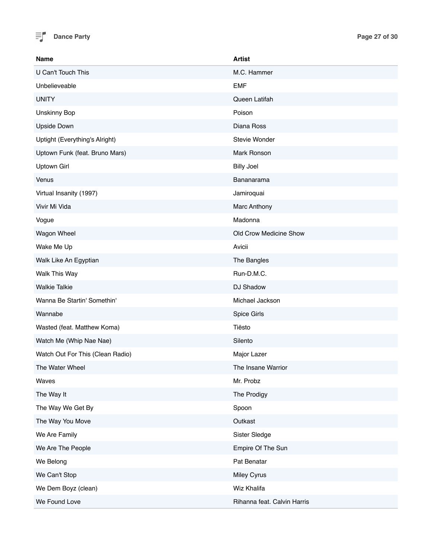

| <b>Name</b>                      | <b>Artist</b>               |
|----------------------------------|-----------------------------|
| U Can't Touch This               | M.C. Hammer                 |
| Unbelieveable                    | <b>EMF</b>                  |
| <b>UNITY</b>                     | Queen Latifah               |
| <b>Unskinny Bop</b>              | Poison                      |
| <b>Upside Down</b>               | Diana Ross                  |
| Uptight (Everything's Alright)   | Stevie Wonder               |
| Uptown Funk (feat. Bruno Mars)   | Mark Ronson                 |
| Uptown Girl                      | <b>Billy Joel</b>           |
| Venus                            | Bananarama                  |
| Virtual Insanity (1997)          | Jamiroquai                  |
| Vivir Mi Vida                    | Marc Anthony                |
| Vogue                            | Madonna                     |
| Wagon Wheel                      | Old Crow Medicine Show      |
| Wake Me Up                       | Avicii                      |
| Walk Like An Egyptian            | The Bangles                 |
| Walk This Way                    | Run-D.M.C.                  |
| <b>Walkie Talkie</b>             | DJ Shadow                   |
| Wanna Be Startin' Somethin'      | Michael Jackson             |
| Wannabe                          | Spice Girls                 |
| Wasted (feat. Matthew Koma)      | Tiësto                      |
| Watch Me (Whip Nae Nae)          | Silento                     |
| Watch Out For This (Clean Radio) | Major Lazer                 |
| The Water Wheel                  | The Insane Warrior          |
| Waves                            | Mr. Probz                   |
| The Way It                       | The Prodigy                 |
| The Way We Get By                | Spoon                       |
| The Way You Move                 | Outkast                     |
| We Are Family                    | Sister Sledge               |
| We Are The People                | Empire Of The Sun           |
| We Belong                        | Pat Benatar                 |
| We Can't Stop                    | Miley Cyrus                 |
| We Dem Boyz (clean)              | Wiz Khalifa                 |
| We Found Love                    | Rihanna feat. Calvin Harris |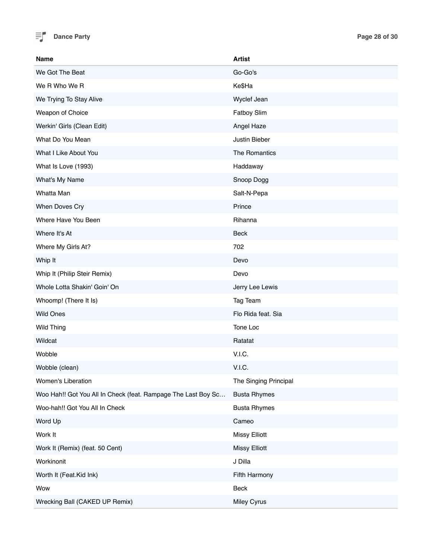

| <b>Name</b>                                                   | <b>Artist</b>         |
|---------------------------------------------------------------|-----------------------|
| We Got The Beat                                               | Go-Go's               |
| We R Who We R                                                 | Ke\$Ha                |
| We Trying To Stay Alive                                       | Wyclef Jean           |
| Weapon of Choice                                              | Fatboy Slim           |
| Werkin' Girls (Clean Edit)                                    | Angel Haze            |
| What Do You Mean                                              | Justin Bieber         |
| What I Like About You                                         | The Romantics         |
| What Is Love (1993)                                           | Haddaway              |
| What's My Name                                                | Snoop Dogg            |
| Whatta Man                                                    | Salt-N-Pepa           |
| When Doves Cry                                                | Prince                |
| Where Have You Been                                           | Rihanna               |
| Where It's At                                                 | Beck                  |
| Where My Girls At?                                            | 702                   |
| Whip It                                                       | Devo                  |
| Whip It (Philip Steir Remix)                                  | Devo                  |
| Whole Lotta Shakin' Goin' On                                  | Jerry Lee Lewis       |
| Whoomp! (There It Is)                                         | Tag Team              |
| <b>Wild Ones</b>                                              | Flo Rida feat. Sia    |
| Wild Thing                                                    | Tone Loc              |
| Wildcat                                                       | Ratatat               |
| Wobble                                                        | V.I.C.                |
| Wobble (clean)                                                | V.I.C.                |
| Women's Liberation                                            | The Singing Principal |
| Woo Hah!! Got You All In Check (feat. Rampage The Last Boy Sc | <b>Busta Rhymes</b>   |
| Woo-hah!! Got You All In Check                                | <b>Busta Rhymes</b>   |
| Word Up                                                       | Cameo                 |
| Work It                                                       | <b>Missy Elliott</b>  |
| Work It (Remix) (feat. 50 Cent)                               | <b>Missy Elliott</b>  |
| Workinonit                                                    | J Dilla               |
| Worth It (Feat.Kid Ink)                                       | Fifth Harmony         |
| Wow                                                           | Beck                  |
| Wrecking Ball (CAKED UP Remix)                                | Miley Cyrus           |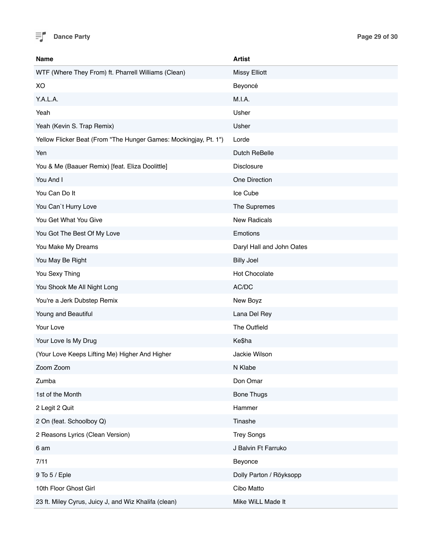

| <b>Name</b>                                                      | <b>Artist</b>             |
|------------------------------------------------------------------|---------------------------|
| WTF (Where They From) ft. Pharrell Williams (Clean)              | <b>Missy Elliott</b>      |
| XO                                                               | Beyoncé                   |
| Y.A.L.A.                                                         | M.I.A.                    |
| Yeah                                                             | Usher                     |
| Yeah (Kevin S. Trap Remix)                                       | Usher                     |
| Yellow Flicker Beat (From "The Hunger Games: Mockingjay, Pt. 1") | Lorde                     |
| Yen                                                              | Dutch ReBelle             |
| You & Me (Baauer Remix) [feat. Eliza Doolittle]                  | Disclosure                |
| You And I                                                        | One Direction             |
| You Can Do It                                                    | Ice Cube                  |
| You Can't Hurry Love                                             | The Supremes              |
| You Get What You Give                                            | <b>New Radicals</b>       |
| You Got The Best Of My Love                                      | Emotions                  |
| You Make My Dreams                                               | Daryl Hall and John Oates |
| You May Be Right                                                 | <b>Billy Joel</b>         |
| You Sexy Thing                                                   | <b>Hot Chocolate</b>      |
| You Shook Me All Night Long                                      | AC/DC                     |
| You're a Jerk Dubstep Remix                                      | New Boyz                  |
| Young and Beautiful                                              | Lana Del Rey              |
| Your Love                                                        | The Outfield              |
| Your Love Is My Drug                                             | Ke\$ha                    |
| (Your Love Keeps Lifting Me) Higher And Higher                   | Jackie Wilson             |
| Zoom Zoom                                                        | N Klabe                   |
| Zumba                                                            | Don Omar                  |
| 1st of the Month                                                 | <b>Bone Thugs</b>         |
| 2 Legit 2 Quit                                                   | Hammer                    |
| 2 On (feat. Schoolboy Q)                                         | Tinashe                   |
| 2 Reasons Lyrics (Clean Version)                                 | <b>Trey Songs</b>         |
| 6 am                                                             | J Balvin Ft Farruko       |
| 7/11                                                             | Beyonce                   |
| 9 To 5 / Eple                                                    | Dolly Parton / Röyksopp   |
| 10th Floor Ghost Girl                                            | Cibo Matto                |
| 23 ft. Miley Cyrus, Juicy J, and Wiz Khalifa (clean)             | Mike WiLL Made It         |